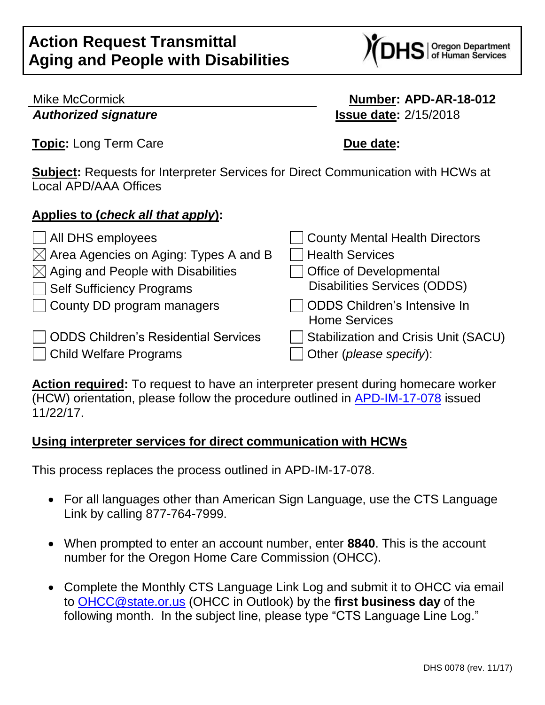

## Mike McCormick **Number: APD-AR-18-012** *Authorized signature* **Issue date:** 2/15/2018

**Topic:** Long Term Care **Due date:** 

**Subject:** Requests for Interpreter Services for Direct Communication with HCWs at Local APD/AAA Offices

## **Applies to (***check all that apply***):**

| All DHS employees                                 | County Mental Health Directors                       |
|---------------------------------------------------|------------------------------------------------------|
| $\boxtimes$ Area Agencies on Aging: Types A and B | $\Box$ Health Services                               |
| $\boxtimes$ Aging and People with Disabilities    | <b>Office of Developmental</b>                       |
| Self Sufficiency Programs                         | <b>Disabilities Services (ODDS)</b>                  |
| County DD program managers                        | ODDS Children's Intensive In<br><b>Home Services</b> |
| <b>ODDS Children's Residential Services</b>       | <b>Stabilization and Crisis Unit (SACU)</b>          |
| Child Welfare Programs                            | Other (please specify):                              |

**Action required:** To request to have an interpreter present during homecare worker (HCW) orientation, please follow the procedure outlined in [APD-IM-17-078](http://www.dhs.state.or.us/policy/spd/transmit/im/2017/im17078.pdf) issued 11/22/17.

## **Using interpreter services for direct communication with HCWs**

This process replaces the process outlined in APD-IM-17-078.

- For all languages other than American Sign Language, use the CTS Language Link by calling 877-764-7999.
- When prompted to enter an account number, enter **8840**. This is the account number for the Oregon Home Care Commission (OHCC).
- Complete the Monthly CTS Language Link Log and submit it to OHCC via email to [OHCC@state.or.us](mailto:OHCC@state.or.us) (OHCC in Outlook) by the **first business day** of the following month. In the subject line, please type "CTS Language Line Log."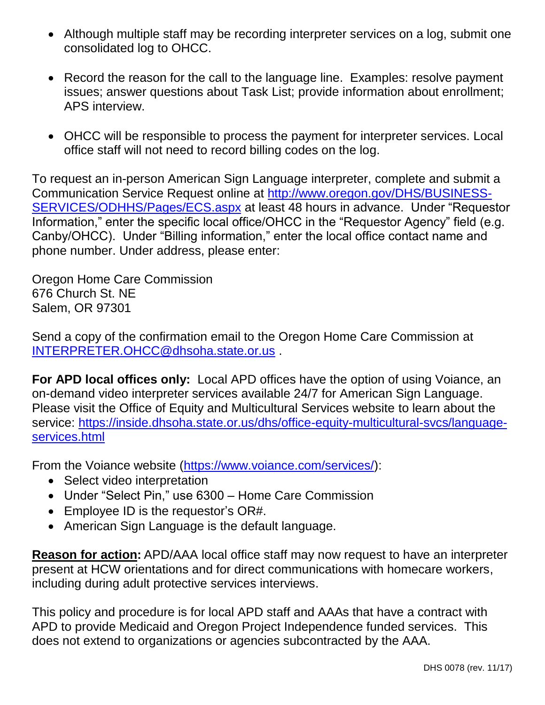- Although multiple staff may be recording interpreter services on a log, submit one consolidated log to OHCC.
- Record the reason for the call to the language line. Examples: resolve payment issues; answer questions about Task List; provide information about enrollment; APS interview.
- OHCC will be responsible to process the payment for interpreter services. Local office staff will not need to record billing codes on the log.

To request an in-person American Sign Language interpreter, complete and submit a Communication Service Request online at [http://www.oregon.gov/DHS/BUSINESS-](http://www.oregon.gov/DHS/BUSINESS-SERVICES/ODHHS/Pages/ECS.aspx)[SERVICES/ODHHS/Pages/ECS.aspx](http://www.oregon.gov/DHS/BUSINESS-SERVICES/ODHHS/Pages/ECS.aspx) at least 48 hours in advance. Under "Requestor Information," enter the specific local office/OHCC in the "Requestor Agency" field (e.g. Canby/OHCC). Under "Billing information," enter the local office contact name and phone number. Under address, please enter:

Oregon Home Care Commission 676 Church St. NE Salem, OR 97301

Send a copy of the confirmation email to the Oregon Home Care Commission at [INTERPRETER.OHCC@dhsoha.state.or.us](mailto:INTERPRETER.OHCC@dhsoha.state.or.us) .

**For APD local offices only:** Local APD offices have the option of using Voiance, an on-demand video interpreter services available 24/7 for American Sign Language. Please visit the Office of Equity and Multicultural Services website to learn about the service: [https://inside.dhsoha.state.or.us/dhs/office-equity-multicultural-svcs/language](https://inside.dhsoha.state.or.us/dhs/office-equity-multicultural-svcs/language-services.html)[services.html](https://inside.dhsoha.state.or.us/dhs/office-equity-multicultural-svcs/language-services.html)

From the Voiance website [\(https://www.voiance.com/services/\)](https://www.voiance.com/services/):

- Select video interpretation
- Under "Select Pin," use 6300 Home Care Commission
- Employee ID is the requestor's OR#.
- American Sign Language is the default language.

**Reason for action:** APD/AAA local office staff may now request to have an interpreter present at HCW orientations and for direct communications with homecare workers, including during adult protective services interviews.

This policy and procedure is for local APD staff and AAAs that have a contract with APD to provide Medicaid and Oregon Project Independence funded services. This does not extend to organizations or agencies subcontracted by the AAA.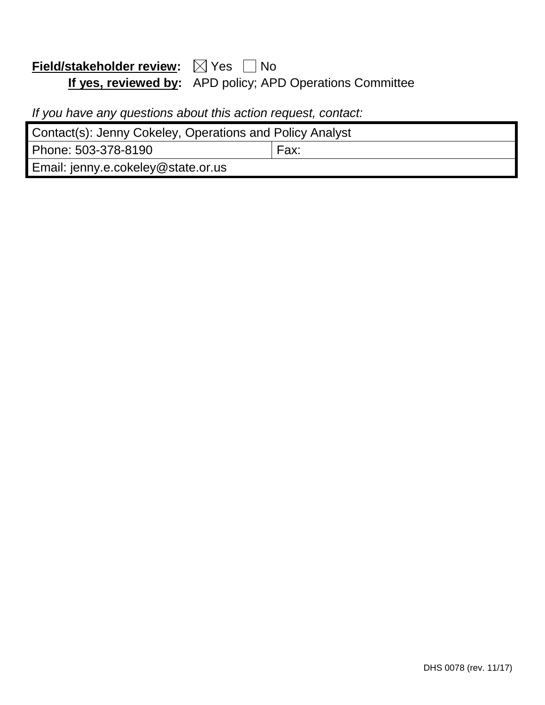# **Field/stakeholder review:**  $\boxtimes$  Yes  $\Box$  No **If yes, reviewed by:** APD policy; APD Operations Committee

*If you have any questions about this action request, contact:*

| Contact(s): Jenny Cokeley, Operations and Policy Analyst |      |  |
|----------------------------------------------------------|------|--|
| Phone: 503-378-8190                                      | Fax: |  |
| Email: jenny.e.cokeley@state.or.us                       |      |  |